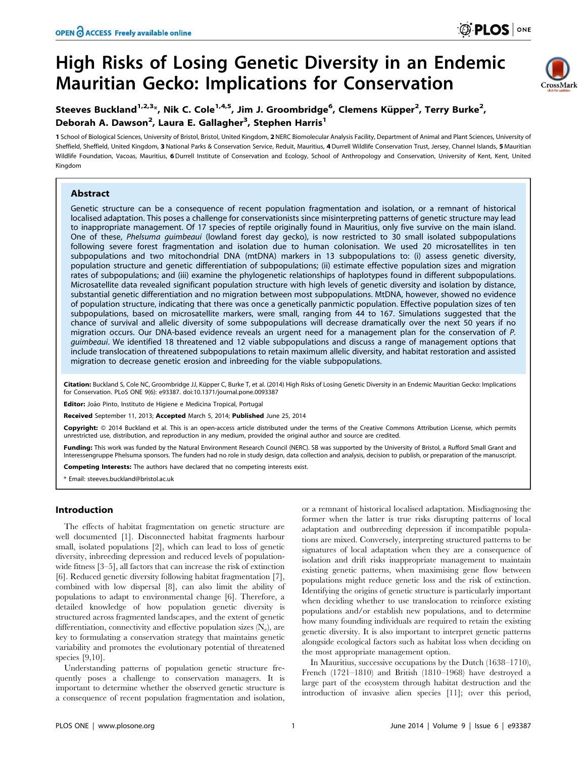# High Risks of Losing Genetic Diversity in an Endemic Mauritian Gecko: Implications for Conservation



## Steeves Buckland<sup>1,2,3</sup>\*, Nik C. Cole<sup>1,4,5</sup>, Jim J. Groombridge<sup>6</sup>, Clemens Küpper<sup>2</sup>, Terry Burke<sup>2</sup>, Deborah A. Dawson<sup>2</sup>, Laura E. Gallagher<sup>3</sup>, Stephen Harris<sup>1</sup>

1 School of Biological Sciences, University of Bristol, Bristol, United Kingdom, 2NERC Biomolecular Analysis Facility, Department of Animal and Plant Sciences, University of Sheffield, Sheffield, United Kingdom, 3 National Parks & Conservation Service, Reduit, Mauritius, 4 Durrell Wildlife Conservation Trust, Jersey, Channel Islands, 5 Mauritian Wildlife Foundation, Vacoas, Mauritius, 6 Durrell Institute of Conservation and Ecology, School of Anthropology and Conservation, University of Kent, Kent, United Kingdom

## Abstract

Genetic structure can be a consequence of recent population fragmentation and isolation, or a remnant of historical localised adaptation. This poses a challenge for conservationists since misinterpreting patterns of genetic structure may lead to inappropriate management. Of 17 species of reptile originally found in Mauritius, only five survive on the main island. One of these, Phelsuma guimbeaui (lowland forest day gecko), is now restricted to 30 small isolated subpopulations following severe forest fragmentation and isolation due to human colonisation. We used 20 microsatellites in ten subpopulations and two mitochondrial DNA (mtDNA) markers in 13 subpopulations to: (i) assess genetic diversity, population structure and genetic differentiation of subpopulations; (ii) estimate effective population sizes and migration rates of subpopulations; and (iii) examine the phylogenetic relationships of haplotypes found in different subpopulations. Microsatellite data revealed significant population structure with high levels of genetic diversity and isolation by distance, substantial genetic differentiation and no migration between most subpopulations. MtDNA, however, showed no evidence of population structure, indicating that there was once a genetically panmictic population. Effective population sizes of ten subpopulations, based on microsatellite markers, were small, ranging from 44 to 167. Simulations suggested that the chance of survival and allelic diversity of some subpopulations will decrease dramatically over the next 50 years if no migration occurs. Our DNA-based evidence reveals an urgent need for a management plan for the conservation of P. guimbeaui. We identified 18 threatened and 12 viable subpopulations and discuss a range of management options that include translocation of threatened subpopulations to retain maximum allelic diversity, and habitat restoration and assisted migration to decrease genetic erosion and inbreeding for the viable subpopulations.

Citation: Buckland S, Cole NC, Groombridge JJ, Küpper C, Burke T, et al. (2014) High Risks of Losing Genetic Diversity in an Endemic Mauritian Gecko: Implications for Conservation. PLoS ONE 9(6): e93387. doi:10.1371/journal.pone.0093387

Editor: João Pinto, Instituto de Higiene e Medicina Tropical, Portugal

Received September 11, 2013; Accepted March 5, 2014; Published June 25, 2014

Copyright: © 2014 Buckland et al. This is an open-access article distributed under the terms of the [Creative Commons Attribution License,](http://creativecommons.org/licenses/by/4.0/) which permits unrestricted use, distribution, and reproduction in any medium, provided the original author and source are credited.

Funding: This work was funded by the Natural Environment Research Council (NERC). SB was supported by the University of Bristol, a Rufford Small Grant and Interessengruppe Phelsuma sponsors. The funders had no role in study design, data collection and analysis, decision to publish, or preparation of the manuscript.

Competing Interests: The authors have declared that no competing interests exist.

\* Email: steeves.buckland@bristol.ac.uk

## Introduction

The effects of habitat fragmentation on genetic structure are well documented [1]. Disconnected habitat fragments harbour small, isolated populations [2], which can lead to loss of genetic diversity, inbreeding depression and reduced levels of populationwide fitness [3–5], all factors that can increase the risk of extinction [6]. Reduced genetic diversity following habitat fragmentation [7], combined with low dispersal [8], can also limit the ability of populations to adapt to environmental change [6]. Therefore, a detailed knowledge of how population genetic diversity is structured across fragmented landscapes, and the extent of genetic differentiation, connectivity and effective population sizes  $(N_e)$ , are key to formulating a conservation strategy that maintains genetic variability and promotes the evolutionary potential of threatened species [9,10].

Understanding patterns of population genetic structure frequently poses a challenge to conservation managers. It is important to determine whether the observed genetic structure is a consequence of recent population fragmentation and isolation,

or a remnant of historical localised adaptation. Misdiagnosing the former when the latter is true risks disrupting patterns of local adaptation and outbreeding depression if incompatible populations are mixed. Conversely, interpreting structured patterns to be signatures of local adaptation when they are a consequence of isolation and drift risks inappropriate management to maintain existing genetic patterns, when maximising gene flow between populations might reduce genetic loss and the risk of extinction. Identifying the origins of genetic structure is particularly important when deciding whether to use translocation to reinforce existing populations and/or establish new populations, and to determine how many founding individuals are required to retain the existing genetic diversity. It is also important to interpret genetic patterns alongside ecological factors such as habitat loss when deciding on the most appropriate management option.

In Mauritius, successive occupations by the Dutch (1638–1710), French (1721–1810) and British (1810–1968) have destroyed a large part of the ecosystem through habitat destruction and the introduction of invasive alien species [11]; over this period,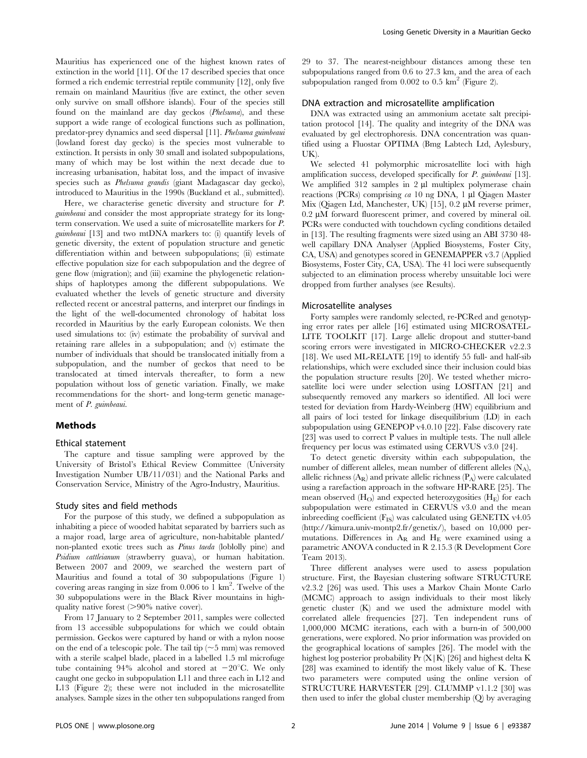Mauritius has experienced one of the highest known rates of extinction in the world [11]. Of the 17 described species that once formed a rich endemic terrestrial reptile community [12], only five remain on mainland Mauritius (five are extinct, the other seven only survive on small offshore islands). Four of the species still found on the mainland are day geckos (Phelsuma), and these support a wide range of ecological functions such as pollination, predator-prey dynamics and seed dispersal [11]. Phelsuma guimbeaui (lowland forest day gecko) is the species most vulnerable to extinction. It persists in only 30 small and isolated subpopulations, many of which may be lost within the next decade due to increasing urbanisation, habitat loss, and the impact of invasive species such as Phelsuma grandis (giant Madagascar day gecko), introduced to Mauritius in the 1990s (Buckland et al., submitted).

Here, we characterise genetic diversity and structure for P. guimbeaui and consider the most appropriate strategy for its longterm conservation. We used a suite of microsatellite markers for P. guimbeaui [13] and two mtDNA markers to: (i) quantify levels of genetic diversity, the extent of population structure and genetic differentiation within and between subpopulations; (ii) estimate effective population size for each subpopulation and the degree of gene flow (migration); and (iii) examine the phylogenetic relationships of haplotypes among the different subpopulations. We evaluated whether the levels of genetic structure and diversity reflected recent or ancestral patterns, and interpret our findings in the light of the well-documented chronology of habitat loss recorded in Mauritius by the early European colonists. We then used simulations to: (iv) estimate the probability of survival and retaining rare alleles in a subpopulation; and (v) estimate the number of individuals that should be translocated initially from a subpopulation, and the number of geckos that need to be translocated at timed intervals thereafter, to form a new population without loss of genetic variation. Finally, we make recommendations for the short- and long-term genetic management of P. guimbeaui.

## Methods

#### Ethical statement

The capture and tissue sampling were approved by the University of Bristol's Ethical Review Committee (University Investigation Number UB/11/031) and the National Parks and Conservation Service, Ministry of the Agro-Industry, Mauritius.

#### Study sites and field methods

For the purpose of this study, we defined a subpopulation as inhabiting a piece of wooded habitat separated by barriers such as a major road, large area of agriculture, non-habitable planted/ non-planted exotic trees such as Pinus taeda (loblolly pine) and Psidium cattleianum (strawberry guava), or human habitation. Between 2007 and 2009, we searched the western part of Mauritius and found a total of 30 subpopulations (Figure 1) covering areas ranging in size from 0.006 to 1 km<sup>2</sup>. Twelve of the 30 subpopulations were in the Black River mountains in highquality native forest  $(>90\%$  native cover).

From 17 January to 2 September 2011, samples were collected from 13 accessible subpopulations for which we could obtain permission. Geckos were captured by hand or with a nylon noose on the end of a telescopic pole. The tail tip  $(\sim 5 \text{ mm})$  was removed with a sterile scalpel blade, placed in a labelled 1.5 ml microfuge tube containing 94% alcohol and stored at  $-20^{\circ}$ C. We only caught one gecko in subpopulation L11 and three each in L12 and L13 (Figure 2); these were not included in the microsatellite analyses. Sample sizes in the other ten subpopulations ranged from 29 to 37. The nearest-neighbour distances among these ten subpopulations ranged from 0.6 to 27.3 km, and the area of each subpopulation ranged from  $0.002$  to  $0.5 \text{ km}^2$  (Figure 2).

#### DNA extraction and microsatellite amplification

DNA was extracted using an ammonium acetate salt precipitation protocol [14]. The quality and integrity of the DNA was evaluated by gel electrophoresis. DNA concentration was quantified using a Fluostar OPTIMA (Bmg Labtech Ltd, Aylesbury, UK).

We selected 41 polymorphic microsatellite loci with high amplification success, developed specifically for  $P$  *guimbeaui* [13]. We amplified 312 samples in 2 ul multiplex polymerase chain reactions (PCRs) comprising  $ca$  10 ng DNA, 1 µl Qiagen Master Mix (Qiagen Ltd, Manchester, UK) [15],  $0.2 \mu M$  reverse primer,  $0.2 \mu M$  forward fluorescent primer, and covered by mineral oil. PCRs were conducted with touchdown cycling conditions detailed in [13]. The resulting fragments were sized using an ABI 3730 48 well capillary DNA Analyser (Applied Biosystems, Foster City, CA, USA) and genotypes scored in GENEMAPPER v3.7 (Applied Biosystems, Foster City, CA, USA). The 41 loci were subsequently subjected to an elimination process whereby unsuitable loci were dropped from further analyses (see Results).

#### Microsatellite analyses

Forty samples were randomly selected, re-PCRed and genotyping error rates per allele [16] estimated using MICROSATEL-LITE TOOLKIT [17]. Large allelic dropout and stutter-band scoring errors were investigated in MICRO-CHECKER v2.2.3 [18]. We used ML-RELATE [19] to identify 55 full- and half-sib relationships, which were excluded since their inclusion could bias the population structure results [20]. We tested whether microsatellite loci were under selection using LOSITAN [21] and subsequently removed any markers so identified. All loci were tested for deviation from Hardy-Weinberg (HW) equilibrium and all pairs of loci tested for linkage disequilibrium (LD) in each subpopulation using GENEPOP v4.0.10 [22]. False discovery rate [23] was used to correct P values in multiple tests. The null allele frequency per locus was estimated using CERVUS v3.0 [24].

To detect genetic diversity within each subpopulation, the number of different alleles, mean number of different alleles  $(N_A)$ , allelic richness  $(A_R)$  and private allelic richness  $(P_A)$  were calculated using a rarefaction approach in the software HP-RARE [25]. The mean observed  $(H<sub>O</sub>)$  and expected heterozygosities  $(H<sub>E</sub>)$  for each subpopulation were estimated in CERVUS v3.0 and the mean inbreeding coefficient  $(F_{IS})$  was calculated using GENETIX v4.05 [\(http://kimura.univ-montp2.fr/genetix/](http://kimura.univ-montp2.fr/genetix/)), based on 10,000 permutations. Differences in  $A_R$  and  $H_E$  were examined using a parametric ANOVA conducted in R 2.15.3 (R Development Core Team 2013).

Three different analyses were used to assess population structure. First, the Bayesian clustering software STRUCTURE v2.3.2 [26] was used. This uses a Markov Chain Monte Carlo (MCMC) approach to assign individuals to their most likely genetic cluster (K) and we used the admixture model with correlated allele frequencies [27]. Ten independent runs of 1,000,000 MCMC iterations, each with a burn-in of 500,000 generations, were explored. No prior information was provided on the geographical locations of samples [26]. The model with the highest log posterior probability  $Pr(X|K)$  [26] and highest delta K [28] was examined to identify the most likely value of K. These two parameters were computed using the online version of STRUCTURE HARVESTER [29]. CLUMMP v1.1.2 [30] was then used to infer the global cluster membership (Q) by averaging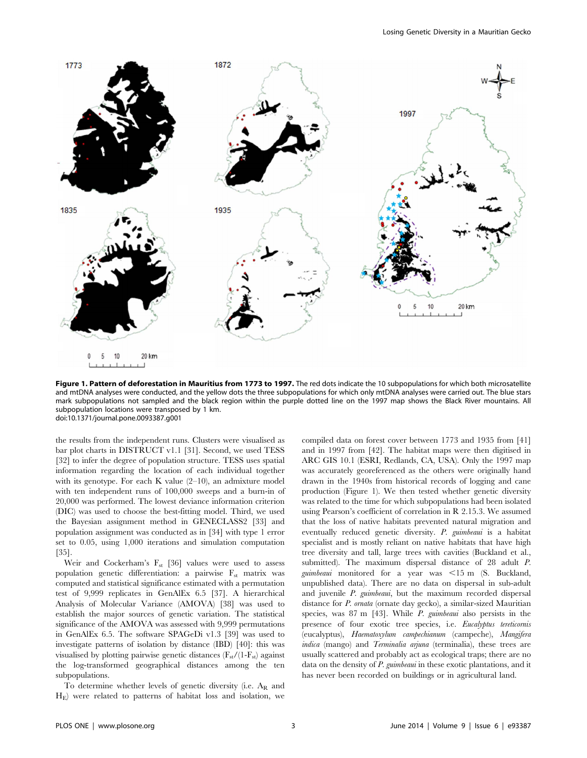

Figure 1. Pattern of deforestation in Mauritius from 1773 to 1997. The red dots indicate the 10 subpopulations for which both microsatellite and mtDNA analyses were conducted, and the yellow dots the three subpopulations for which only mtDNA analyses were carried out. The blue stars mark subpopulations not sampled and the black region within the purple dotted line on the 1997 map shows the Black River mountains. All subpopulation locations were transposed by 1 km. doi:10.1371/journal.pone.0093387.g001

the results from the independent runs. Clusters were visualised as bar plot charts in DISTRUCT v1.1 [31]. Second, we used TESS [32] to infer the degree of population structure. TESS uses spatial information regarding the location of each individual together with its genotype. For each K value (2–10), an admixture model with ten independent runs of 100,000 sweeps and a burn-in of 20,000 was performed. The lowest deviance information criterion (DIC) was used to choose the best-fitting model. Third, we used the Bayesian assignment method in GENECLASS2 [33] and population assignment was conducted as in [34] with type 1 error set to 0.05, using 1,000 iterations and simulation computation [35].

Weir and Cockerham's  $F_{st}$  [36] values were used to assess population genetic differentiation: a pairwise  $F_{st}$  matrix was computed and statistical significance estimated with a permutation test of 9,999 replicates in GenAlEx 6.5 [37]. A hierarchical Analysis of Molecular Variance (AMOVA) [38] was used to establish the major sources of genetic variation. The statistical significance of the AMOVA was assessed with 9,999 permutations in GenAlEx 6.5. The software SPAGeDi v1.3 [39] was used to investigate patterns of isolation by distance (IBD) [40]: this was visualised by plotting pairwise genetic distances  $(F_{st}/(1-F_{st})$  against the log-transformed geographical distances among the ten subpopulations.

To determine whether levels of genetic diversity (i.e.  $A_R$  and  $H<sub>E</sub>$ ) were related to patterns of habitat loss and isolation, we

compiled data on forest cover between 1773 and 1935 from [41] and in 1997 from [42]. The habitat maps were then digitised in ARC GIS 10.1 (ESRI, Redlands, CA, USA). Only the 1997 map was accurately georeferenced as the others were originally hand drawn in the 1940s from historical records of logging and cane production (Figure 1). We then tested whether genetic diversity was related to the time for which subpopulations had been isolated using Pearson's coefficient of correlation in R 2.15.3. We assumed that the loss of native habitats prevented natural migration and eventually reduced genetic diversity. P. guimbeaui is a habitat specialist and is mostly reliant on native habitats that have high tree diversity and tall, large trees with cavities (Buckland et al., submitted). The maximum dispersal distance of 28 adult P. guimbeaui monitored for a year was  $\leq 15$  m (S. Buckland, unpublished data). There are no data on dispersal in sub-adult and juvenile P. guimbeaui, but the maximum recorded dispersal distance for *P. ornata* (ornate day gecko), a similar-sized Mauritian species, was 87 m [43]. While *P. guimbeaui* also persists in the presence of four exotic tree species, i.e. Eucalyptus tereticornis (eucalyptus), Haematoxylum campechianum (campeche), Mangifera indica (mango) and Terminalia arjuna (terminalia), these trees are usually scattered and probably act as ecological traps; there are no data on the density of P. guimbeaui in these exotic plantations, and it has never been recorded on buildings or in agricultural land.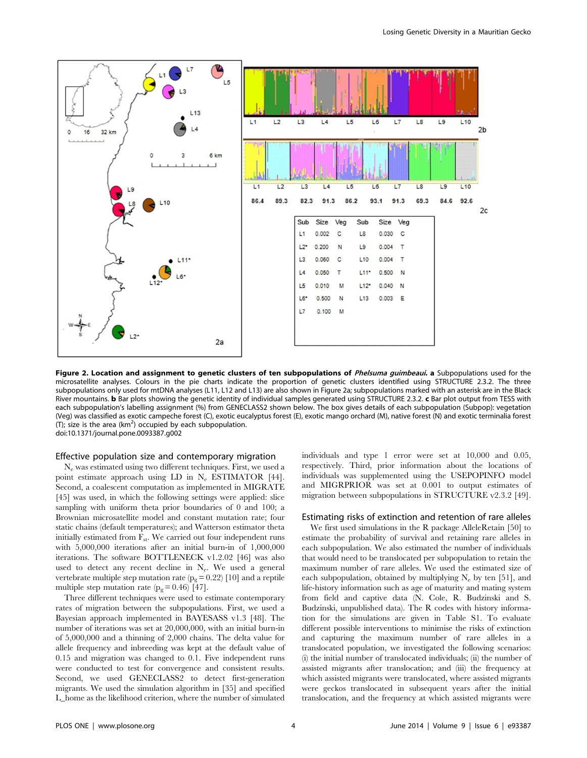

Figure 2. Location and assignment to genetic clusters of ten subpopulations of Phelsuma guimbeaui. a Subpopulations used for the microsatellite analyses. Colours in the pie charts indicate the proportion of genetic clusters identified using STRUCTURE 2.3.2. The three subpopulations only used for mtDNA analyses (L11, L12 and L13) are also shown in Figure 2a; subpopulations marked with an asterisk are in the Black River mountains. **b** Bar plots showing the genetic identity of individual samples generated using STRUCTURE 2.3.2. c Bar plot output from TESS with each subpopulation's labelling assignment (%) from GENECLASS2 shown below. The box gives details of each subpopulation (Subpop): vegetation (Veg) was classified as exotic campeche forest (C), exotic eucalyptus forest (E), exotic mango orchard (M), native forest (N) and exotic terminalia forest (T); size is the area  $(km^2)$  occupied by each subpopulation. doi:10.1371/journal.pone.0093387.g002

#### Effective population size and contemporary migration

Ne was estimated using two different techniques. First, we used a point estimate approach using LD in N<sub>e</sub> ESTIMATOR [44]. Second, a coalescent computation as implemented in MIGRATE [45] was used, in which the following settings were applied: slice sampling with uniform theta prior boundaries of 0 and 100; a Brownian microsatellite model and constant mutation rate; four static chains (default temperatures); and Watterson estimator theta initially estimated from  $F_{st}$ . We carried out four independent runs with 5,000,000 iterations after an initial burn-in of 1,000,000 iterations. The software BOTTLENECK v1.2.02 [46] was also used to detect any recent decline in  $N_e$ . We used a general vertebrate multiple step mutation rate  $\left( p_{g}=0.22\right)$  [10] and a reptile multiple step mutation rate  $(p_g = 0.46)$  [47].

Three different techniques were used to estimate contemporary rates of migration between the subpopulations. First, we used a Bayesian approach implemented in BAYESASS v1.3 [48]. The number of iterations was set at 20,000,000, with an initial burn-in of 5,000,000 and a thinning of 2,000 chains. The delta value for allele frequency and inbreeding was kept at the default value of 0.15 and migration was changed to 0.1. Five independent runs were conducted to test for convergence and consistent results. Second, we used GENECLASS2 to detect first-generation migrants. We used the simulation algorithm in [35] and specified L\_home as the likelihood criterion, where the number of simulated individuals and type 1 error were set at 10,000 and 0.05, respectively. Third, prior information about the locations of individuals was supplemented using the USEPOPINFO model and MIGRPRIOR was set at 0.001 to output estimates of migration between subpopulations in STRUCTURE v2.3.2 [49].

#### Estimating risks of extinction and retention of rare alleles

We first used simulations in the R package AlleleRetain [50] to estimate the probability of survival and retaining rare alleles in each subpopulation. We also estimated the number of individuals that would need to be translocated per subpopulation to retain the maximum number of rare alleles. We used the estimated size of each subpopulation, obtained by multiplying  $N_e$  by ten [51], and life-history information such as age of maturity and mating system from field and captive data (N. Cole, R. Budzinski and S. Budzinski, unpublished data). The R codes with history information for the simulations are given in Table S1. To evaluate different possible interventions to minimise the risks of extinction and capturing the maximum number of rare alleles in a translocated population, we investigated the following scenarios: (i) the initial number of translocated individuals; (ii) the number of assisted migrants after translocation; and (iii) the frequency at which assisted migrants were translocated, where assisted migrants were geckos translocated in subsequent years after the initial translocation, and the frequency at which assisted migrants were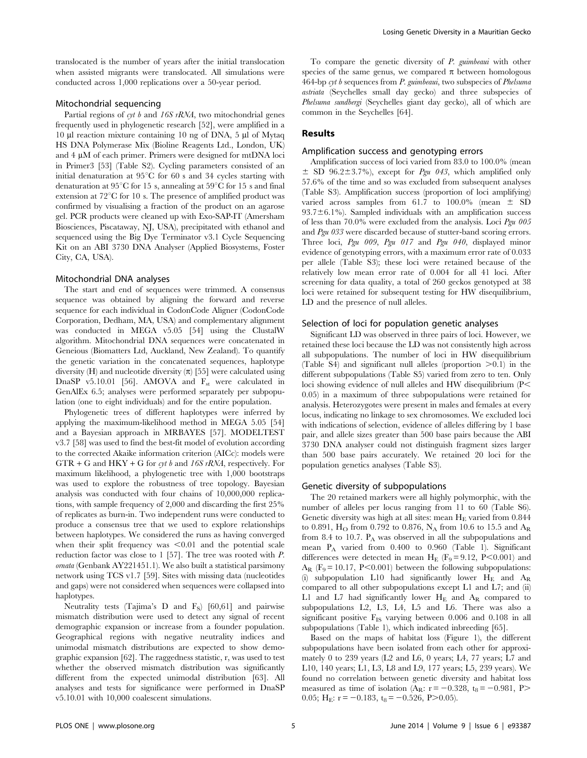translocated is the number of years after the initial translocation when assisted migrants were translocated. All simulations were conducted across 1,000 replications over a 50-year period.

## Mitochondrial sequencing

Partial regions of cyt  $b$  and 16S rRNA, two mitochondrial genes frequently used in phylogenetic research [52], were amplified in a 10 ml reaction mixture containing 10 ng of DNA, 5 ml of Mytaq HS DNA Polymerase Mix (Bioline Reagents Ltd., London, UK) and  $4 \mu$ M of each primer. Primers were designed for mtDNA loci in Primer3 [53] (Table S2). Cycling parameters consisted of an initial denaturation at  $95^{\circ}$ C for 60 s and 34 cycles starting with denaturation at  $95^{\circ}$ C for 15 s, annealing at  $59^{\circ}$ C for 15 s and final extension at  $72^{\circ}$ C for 10 s. The presence of amplified product was confirmed by visualising a fraction of the product on an agarose gel. PCR products were cleaned up with Exo-SAP-IT (Amersham Biosciences, Piscataway, NJ, USA), precipitated with ethanol and sequenced using the Big Dye Terminator v3.1 Cycle Sequencing Kit on an ABI 3730 DNA Analyser (Applied Biosystems, Foster City, CA, USA).

#### Mitochondrial DNA analyses

The start and end of sequences were trimmed. A consensus sequence was obtained by aligning the forward and reverse sequence for each individual in CodonCode Aligner (CodonCode Corporation, Dedham, MA, USA) and complementary alignment was conducted in MEGA v5.05 [54] using the ClustalW algorithm. Mitochondrial DNA sequences were concatenated in Geneious (Biomatters Ltd, Auckland, New Zealand). To quantify the genetic variation in the concatenated sequences, haplotype diversity (H) and nucleotide diversity  $(\pi)$  [55] were calculated using DnaSP v5.10.01 [56]. AMOVA and  $F_{st}$  were calculated in GenAlEx 6.5; analyses were performed separately per subpopulation (one to eight individuals) and for the entire population.

Phylogenetic trees of different haplotypes were inferred by applying the maximum-likelihood method in MEGA 5.05 [54] and a Bayesian approach in MRBAYES [57]. MODELTEST v3.7 [58] was used to find the best-fit model of evolution according to the corrected Akaike information criterion (AICc): models were  $GTR + G$  and  $HKY + G$  for cyt b and 16S rRNA, respectively. For maximum likelihood, a phylogenetic tree with 1,000 bootstraps was used to explore the robustness of tree topology. Bayesian analysis was conducted with four chains of 10,000,000 replications, with sample frequency of 2,000 and discarding the first 25% of replicates as burn-in. Two independent runs were conducted to produce a consensus tree that we used to explore relationships between haplotypes. We considered the runs as having converged when their split frequency was  $\leq 0.01$  and the potential scale reduction factor was close to 1 [57]. The tree was rooted with P. ornata (Genbank AY221451.1). We also built a statistical parsimony network using TCS v1.7 [59]. Sites with missing data (nucleotides and gaps) were not considered when sequences were collapsed into haplotypes.

Neutrality tests (Tajima's D and  $F_S$ ) [60,61] and pairwise mismatch distribution were used to detect any signal of recent demographic expansion or increase from a founder population. Geographical regions with negative neutrality indices and unimodal mismatch distributions are expected to show demographic expansion [62]. The raggedness statistic, r, was used to test whether the observed mismatch distribution was significantly different from the expected unimodal distribution [63]. All analyses and tests for significance were performed in DnaSP v5.10.01 with 10,000 coalescent simulations.

To compare the genetic diversity of P. guimbeaui with other species of the same genus, we compared  $\pi$  between homologous 464-bp cyt b sequences from P. guimbeaui, two subspecies of Phelsuma astriata (Seychelles small day gecko) and three subspecies of Phelsuma sundbergi (Seychelles giant day gecko), all of which are common in the Seychelles [64].

## Results

## Amplification success and genotyping errors

Amplification success of loci varied from 83.0 to 100.0% (mean  $\pm$  SD 96.2 $\pm$ 3.7%), except for *Pgu 043*, which amplified only 57.6% of the time and so was excluded from subsequent analyses (Table S3). Amplification success (proportion of loci amplifying) varied across samples from 61.7 to  $100.0\%$  (mean  $\pm$  SD  $93.7\pm6.1\%$ ). Sampled individuals with an amplification success of less than 70.0% were excluded from the analysis. Loci Pgu 005 and Pgu 033 were discarded because of stutter-band scoring errors. Three loci, Pgu 009, Pgu 017 and Pgu 040, displayed minor evidence of genotyping errors, with a maximum error rate of 0.033 per allele (Table S3); these loci were retained because of the relatively low mean error rate of 0.004 for all 41 loci. After screening for data quality, a total of 260 geckos genotyped at 38 loci were retained for subsequent testing for HW disequilibrium, LD and the presence of null alleles.

## Selection of loci for population genetic analyses

Significant LD was observed in three pairs of loci. However, we retained these loci because the LD was not consistently high across all subpopulations. The number of loci in HW disequilibrium (Table S4) and significant null alleles (proportion  $>0.1$ ) in the different subpopulations (Table S5) varied from zero to ten. Only loci showing evidence of null alleles and HW disequilibrium  $(P<$ 0.05) in a maximum of three subpopulations were retained for analysis. Heterozygotes were present in males and females at every locus, indicating no linkage to sex chromosomes. We excluded loci with indications of selection, evidence of alleles differing by 1 base pair, and allele sizes greater than 500 base pairs because the ABI 3730 DNA analyser could not distinguish fragment sizes larger than 500 base pairs accurately. We retained 20 loci for the population genetics analyses (Table S3).

## Genetic diversity of subpopulations

The 20 retained markers were all highly polymorphic, with the number of alleles per locus ranging from 11 to 60 (Table S6). Genetic diversity was high at all sites: mean  $H_E$  varied from 0.844 to 0.891,  $H_{\rm O}$  from 0.792 to 0.876, N<sub>A</sub> from 10.6 to 15.5 and A<sub>R</sub> from 8.4 to 10.7.  $P_A$  was observed in all the subpopulations and mean  $P_A$  varied from 0.400 to 0.960 (Table 1). Significant differences were detected in mean  $H_E$  (F<sub>9</sub>= 9.12, P<0.001) and  $A_R$  (F<sub>9</sub> = 10.17, P<0.001) between the following subpopulations: (i) subpopulation L10 had significantly lower  $H_E$  and  $A_R$ compared to all other subpopulations except L1 and L7; and (ii) L1 and L7 had significantly lower  $H_E$  and  $A_R$  compared to subpopulations L2, L3, L4, L5 and L6. There was also a significant positive  $F_{IS}$  varying between 0.006 and 0.108 in all subpopulations (Table 1), which indicated inbreeding [65].

Based on the maps of habitat loss (Figure 1), the different subpopulations have been isolated from each other for approximately 0 to 239 years (L2 and L6, 0 years; L4, 77 years; L7 and L10, 140 years; L1, L3, L8 and L9, 177 years; L5, 239 years). We found no correlation between genetic diversity and habitat loss measured as time of isolation (A<sub>R</sub>:  $r = -0.328$ ,  $t_8 = -0.981$ , P> 0.05; H<sub>E</sub>:  $r = -0.183$ ,  $t_8 = -0.526$ , P $> 0.05$ ).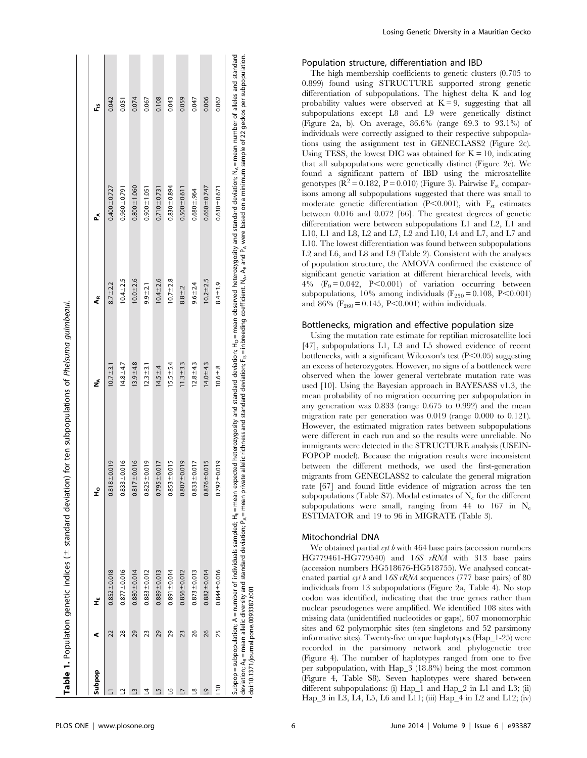| Subpop        | ⊄  | ť                 | ہ<br>±              | ź              | ڲ             | ڲ                 | ۴.    |
|---------------|----|-------------------|---------------------|----------------|---------------|-------------------|-------|
|               | 22 | $0.852 \pm 0.018$ | $8 + 0.019$<br>0.81 | $10.7 + 3.1$   | $8.7 \pm 2.2$ | $0.400 + 0.727$   | 0.042 |
|               | 28 | $0.877 + 0.016$   | $0.833 + 0.016$     | $14.8 + 4.7$   | $10.4 + 2.5$  | $0.960 + 0.791$   | 0.051 |
|               | 29 | $0.880 + 0.014$   | $7 + 0.016$<br>0.81 | $13.9 + 4.8$   | $10.0 + 2.6$  | $0.800 + 1.060$   | 0.074 |
|               | 23 | $0.883 + 0.012$   | $0.825 \pm 0.019$   | $12.3 \pm 3.1$ | $9.9 + 2.1$   | $0.900 \pm 1.051$ | 0.067 |
|               | 29 | $0.889 + 0.013$   | $0.795 \pm 0.017$   | $14.5 \pm .4$  | $10.4 + 2.6$  | $0.710 + 0.731$   | 0.108 |
| ٩             | 29 | $0.891 \pm 0.014$ | $0.853 + 0.015$     | $15.5 \pm 5.4$ | $10.7 + 2.8$  | $0.830 + 0.894$   | 0.043 |
|               | 23 | $0.856 + 0.012$   | $0.807 + 0.019$     | $11.3 + 3.3$   | $8.8 + 2$     | $0.500 + 0.611$   | 0.059 |
| ∞ฺ            | 26 | $0.873 + 0.013$   | $0.833 \pm 0.017$   | $12.8 \pm 4.3$ | $9.6 + 2.4$   | $0.680 - 964$     | 0.047 |
| Q             | 26 | $0.882 \pm 0.014$ | $0.876 + 0.015$     | $14.0 \pm 4.3$ | $10.2 + 2.5$  | $0.660 \pm 0.747$ | 0.006 |
| $\frac{1}{2}$ | 25 | $0.844 + 0.016$   | $0.792 \pm 0.019$   | $10.6 + 8$     | $8.4 + 1.9$   | $0.630 \pm 0.671$ | 0.062 |

Losing Genetic Diversity in a Mauritian Gecko

#### Population structure, differentiation and IBD

The high membership coefficients to genetic clusters (0.705 to 0.899) found using STRUCTURE supported strong genetic differentiation of subpopulations. The highest delta K and log probability values were observed at  $K = 9$ , suggesting that all subpopulations except L8 and L9 were genetically distinct (Figure 2a, b). On average, 86.6% (range 69.3 to 93.1%) of individuals were correctly assigned to their respective subpopulations using the assignment test in GENECLASS2 (Figure 2c). Using TESS, the lowest DIC was obtained for  $K = 10$ , indicating that all subpopulations were genetically distinct (Figure 2c). We found a significant pattern of IBD using the microsatellite genotypes ( $\mathbb{R}^2 = 0.182$ ,  $\mathbb{P} = 0.010$ ) (Figure 3). Pairwise  $\mathbb{F}_{st}$  comparisons among all subpopulations suggested that there was small to moderate genetic differentiation (P<0.001), with  $F_{st}$  estimates between 0.016 and 0.072 [66]. The greatest degrees of genetic differentiation were between subpopulations L1 and L2, L1 and L10, L1 and L8, L2 and L7, L2 and L10, L4 and L7, and L7 and L10. The lowest differentiation was found between subpopulations L2 and L6, and L8 and L9 (Table 2). Consistent with the analyses of population structure, the AMOVA confirmed the existence of significant genetic variation at different hierarchical levels, with  $4\%$  (F<sub>9</sub>= 0.042, P< 0.001) of variation occurring between subpopulations, 10% among individuals ( $F_{250} = 0.108$ , P<0.001) and 86% ( $F_{260} = 0.145$ , P<0.001) within individuals.

#### Bottlenecks, migration and effective population size

Using the mutation rate estimate for reptilian microsatellite loci [47], subpopulations L1, L3 and L5 showed evidence of recent bottlenecks, with a significant Wilcoxon's test  $(P<0.05)$  suggesting an excess of heterozygotes. However, no signs of a bottleneck were observed when the lower general vertebrate mutation rate was used [10]. Using the Bayesian approach in BAYESASS v1.3, the mean probability of no migration occurring per subpopulation in any generation was 0.833 (range 0.675 to 0.992) and the mean migration rate per generation was 0.019 (range 0.000 to 0.121). However, the estimated migration rates between subpopulations were different in each run and so the results were unreliable. No immigrants were detected in the STRUCTURE analysis (USEIN-FOPOP model). Because the migration results were inconsistent between the different methods, we used the first-generation migrants from GENECLASS2 to calculate the general migration rate [67] and found little evidence of migration across the ten subpopulations (Table S7). Modal estimates of  $N_e$  for the different subpopulations were small, ranging from 44 to 167 in  $N_e$ ESTIMATOR and 19 to 96 in MIGRATE (Table 3).

#### Mitochondrial DNA

We obtained partial  $\mathit{cyt}$  b with 464 base pairs (accession numbers HG779461-HG779540) and 16S rRNA with 313 base pairs (accession numbers HG518676-HG518755). We analysed concatenated partial cyt b and  $16S$  rRNA sequences (777 base pairs) of 80 individuals from 13 subpopulations (Figure 2a, Table 4). No stop codon was identified, indicating that the true genes rather than nuclear pseudogenes were amplified. We identified 108 sites with missing data (unidentified nucleotides or gaps), 607 monomorphic sites and 62 polymorphic sites (ten singletons and 52 parsimony informative sites). Twenty-five unique haplotypes (Hap\_1-25) were recorded in the parsimony network and phylogenetic tree (Figure 4). The number of haplotypes ranged from one to five per subpopulation, with Hap\_3 (18.8%) being the most common (Figure 4, Table S8). Seven haplotypes were shared between different subpopulations: (i) Hap\_1 and Hap\_2 in L1 and L3; (ii) Hap\_3 in L3, L4, L5, L6 and L11; (iii) Hap\_4 in L2 and L12; (iv)

doi:10.1371/journal.pone.0093387.t001

doi:10.1371/journal.pone.0093387.t001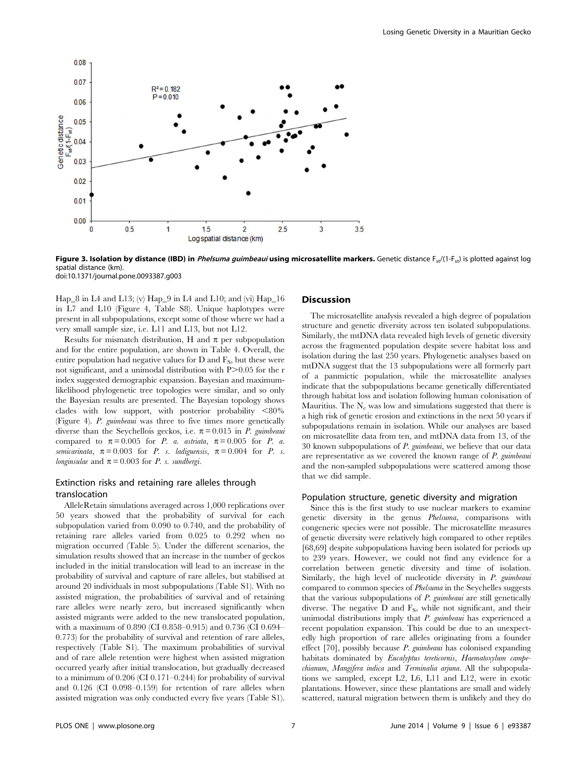

Figure 3. Isolation by distance (IBD) in *Phelsuma guimbeaui* using microsatellite markers. Genetic distance  $F_{\text{ct}}/(1-F_{\text{ct}})$  is plotted against log spatial distance (km). doi:10.1371/journal.pone.0093387.g003

Hap\_8 in L4 and L13; (v) Hap\_9 in L4 and L10; and (vi) Hap\_16 in L7 and L10 (Figure 4, Table S8). Unique haplotypes were present in all subpopulations, except some of those where we had a very small sample size, i.e. L11 and L13, but not L12.

Results for mismatch distribution, H and  $\pi$  per subpopulation and for the entire population, are shown in Table 4. Overall, the entire population had negative values for  $D$  and  $F_S$ , but these were not significant, and a unimodal distribution with  $P > 0.05$  for the r index suggested demographic expansion. Bayesian and maximumlikelihood phylogenetic tree topologies were similar, and so only the Bayesian results are presented. The Bayesian topology shows clades with low support, with posterior probability  $<80\%$ (Figure 4). P. guimbeaui was three to five times more genetically diverse than the Seychellois geckos, i.e.  $\pi = 0.015$  in *P. guimbeaui* compared to  $\pi = 0.005$  for *P. a. astriata*,  $\pi = 0.005$  for *P. a.* semicarinata,  $\pi = 0.003$  for *P.* s. ladiguensis,  $\pi = 0.004$  for *P.* s. longinsulae and  $\pi = 0.003$  for P. s. sundbergi.

## Extinction risks and retaining rare alleles through translocation

AlleleRetain simulations averaged across 1,000 replications over 50 years showed that the probability of survival for each subpopulation varied from 0.090 to 0.740, and the probability of retaining rare alleles varied from 0.025 to 0.292 when no migration occurred (Table 5). Under the different scenarios, the simulation results showed that an increase in the number of geckos included in the initial translocation will lead to an increase in the probability of survival and capture of rare alleles, but stabilised at around 20 individuals in most subpopulations (Table S1). With no assisted migration, the probabilities of survival and of retaining rare alleles were nearly zero, but increased significantly when assisted migrants were added to the new translocated population, with a maximum of 0.890 (CI 0.858–0.915) and 0.736 (CI 0.694– 0.773) for the probability of survival and retention of rare alleles, respectively (Table S1). The maximum probabilities of survival and of rare allele retention were highest when assisted migration occurred yearly after initial translocation, but gradually decreased to a minimum of 0.206 (CI 0.171–0.244) for probability of survival and 0.126 (CI 0.098–0.159) for retention of rare alleles when assisted migration was only conducted every five years (Table S1).

## **Discussion**

The microsatellite analysis revealed a high degree of population structure and genetic diversity across ten isolated subpopulations. Similarly, the mtDNA data revealed high levels of genetic diversity across the fragmented population despite severe habitat loss and isolation during the last 250 years. Phylogenetic analyses based on mtDNA suggest that the 13 subpopulations were all formerly part of a panmictic population, while the microsatellite analyses indicate that the subpopulations became genetically differentiated through habitat loss and isolation following human colonisation of Mauritius. The  $N_e$  was low and simulations suggested that there is a high risk of genetic erosion and extinctions in the next 50 years if subpopulations remain in isolation. While our analyses are based on microsatellite data from ten, and mtDNA data from 13, of the 30 known subpopulations of P. guimbeaui, we believe that our data are representative as we covered the known range of P. guimbeaui and the non-sampled subpopulations were scattered among those that we did sample.

#### Population structure, genetic diversity and migration

Since this is the first study to use nuclear markers to examine genetic diversity in the genus Phelsuma, comparisons with congeneric species were not possible. The microsatellite measures of genetic diversity were relatively high compared to other reptiles [68,69] despite subpopulations having been isolated for periods up to 239 years. However, we could not find any evidence for a correlation between genetic diversity and time of isolation. Similarly, the high level of nucleotide diversity in P. guimbeaui compared to common species of Phelsuma in the Seychelles suggests that the various subpopulations of  $P$ . guimbeaui are still genetically diverse. The negative  $D$  and  $F_s$ , while not significant, and their unimodal distributions imply that  $P$ . guimbeaui has experienced a recent population expansion. This could be due to an unexpectedly high proportion of rare alleles originating from a founder effect [70], possibly because P. guimbeaui has colonised expanding habitats dominated by Eucalyptus tereticornis, Haematoxylum campechianum, Mangifera indica and Terminalia arjuna. All the subpopulations we sampled, except L2, L6, L11 and L12, were in exotic plantations. However, since these plantations are small and widely scattered, natural migration between them is unlikely and they do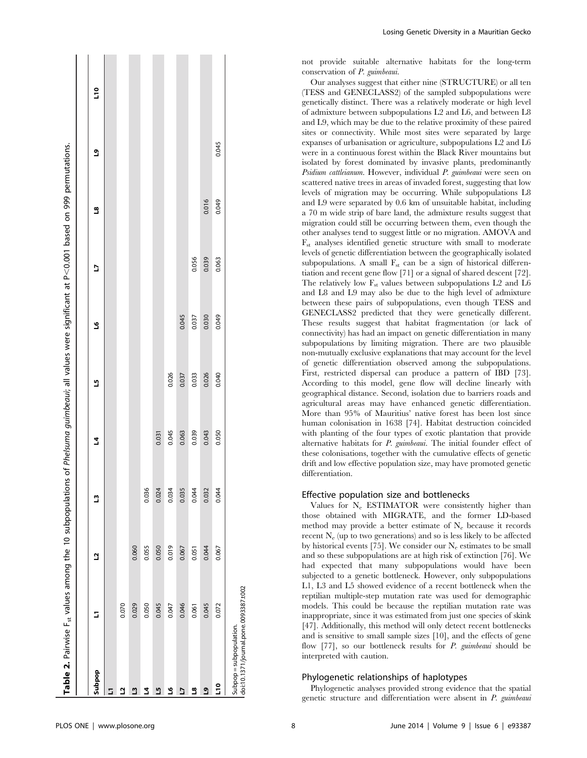| Table 2. Pairwise F <sub>st</sub> values among the 10 subpopulations of Phe/suma guimbeaui; all values were significant at P<0.001 based on 999 permutations. |       |       |       |       |       |       |       |          |       |                |
|---------------------------------------------------------------------------------------------------------------------------------------------------------------|-------|-------|-------|-------|-------|-------|-------|----------|-------|----------------|
|                                                                                                                                                               |       |       |       |       |       |       |       |          |       |                |
| Subpop                                                                                                                                                        | 5     | 2     | Ľ     | 2     | Ľ     | ڡ     | 5     | <u>ទ</u> | ٩J    | $\frac{1}{10}$ |
| □                                                                                                                                                             |       |       |       |       |       |       |       |          |       |                |
| ₫                                                                                                                                                             | 0.070 |       |       |       |       |       |       |          |       |                |
| ≅                                                                                                                                                             | 0.029 | 0.060 |       |       |       |       |       |          |       |                |
| 2                                                                                                                                                             | 0.050 | 0.055 | 0.036 |       |       |       |       |          |       |                |
| <u>ي</u>                                                                                                                                                      | 0.045 | 0.050 | 0.024 | 0.031 |       |       |       |          |       |                |
| ى                                                                                                                                                             | 0.047 | 0.019 | 0.034 | 0.045 | 0.026 |       |       |          |       |                |
| 5                                                                                                                                                             | 0.046 | 0.067 | 0.035 | 0.063 | 0.037 | 0.045 |       |          |       |                |
| <u>م</u>                                                                                                                                                      | 0.061 | 0.051 | 0.044 | 0.039 | 0.033 | 0.037 | 0.056 |          |       |                |
| ٥J                                                                                                                                                            | 0.045 | 0.044 | 0.032 | 0.043 | 0.026 | 0.030 | 0.039 | 0.016    |       |                |
| <u>ی</u>                                                                                                                                                      | 0.072 | 0.067 | 0.044 | 0.050 | 0.040 | 0.049 | 0.063 | 0.049    | 0.045 |                |
| doi:10.1371/journal.pone.0093387.t002<br>Subpop = subpopulation.                                                                                              |       |       |       |       |       |       |       |          |       |                |

 $\blacksquare$ 

 $\mathbb{R}$ 

**Contract** 

**Contract** 

**College** 

**COL** 

not provide suitable alternative habitats for the long-term conservation of P. guimbeaui.

Our analyses suggest that either nine (STRUCTURE) or all ten (TESS and GENECLASS2) of the sampled subpopulations were genetically distinct. There was a relatively moderate or high level of admixture between subpopulations L2 and L6, and between L8 and L9, which may be due to the relative proximity of these paired sites or connectivity. While most sites were separated by large expanses of urbanisation or agriculture, subpopulations L2 and L6 were in a continuous forest within the Black River mountains but isolated by forest dominated by invasive plants, predominantly Psidium cattleianum. However, individual P. guimbeaui were seen on scattered native trees in areas of invaded forest, suggesting that low levels of migration may be occurring. While subpopulations L8 and L9 were separated by 0.6 km of unsuitable habitat, including a 70 m wide strip of bare land, the admixture results suggest that migration could still be occurring between them, even though the other analyses tend to suggest little or no migration. AMOVA and  $F<sub>st</sub>$  analyses identified genetic structure with small to moderate levels of genetic differentiation between the geographically isolated subpopulations. A small  $F_{st}$  can be a sign of historical differentiation and recent gene flow [71] or a signal of shared descent [72]. The relatively low  $F_{st}$  values between subpopulations L2 and L6 and L8 and L9 may also be due to the high level of admixture between these pairs of subpopulations, even though TESS and GENECLASS2 predicted that they were genetically different. These results suggest that habitat fragmentation (or lack of connectivity) has had an impact on genetic differentiation in many subpopulations by limiting migration. There are two plausible non-mutually exclusive explanations that may account for the level of genetic differentiation observed among the subpopulations. First, restricted dispersal can produce a pattern of IBD [73]. According to this model, gene flow will decline linearly with geographical distance. Second, isolation due to barriers roads and agricultural areas may have enhanced genetic differentiation. More than 95% of Mauritius' native forest has been lost since human colonisation in 1638 [74]. Habitat destruction coincided with planting of the four types of exotic plantation that provide alternative habitats for P. guimbeaui. The initial founder effect of these colonisations, together with the cumulative effects of genetic drift and low effective population size, may have promoted genetic differentiation.

#### Effective population size and bottlenecks

Values for N<sub>e</sub> ESTIMATOR were consistently higher than those obtained with MIGRATE, and the former LD-based method may provide a better estimate of  $N_e$  because it records recent  $N_e$  (up to two generations) and so is less likely to be affected by historical events [75]. We consider our  $N_e$  estimates to be small and so these subpopulations are at high risk of extinction [76]. We had expected that many subpopulations would have been subjected to a genetic bottleneck. However, only subpopulations L1, L3 and L5 showed evidence of a recent bottleneck when the reptilian multiple-step mutation rate was used for demographic models. This could be because the reptilian mutation rate was inappropriate, since it was estimated from just one species of skink [47]. Additionally, this method will only detect recent bottlenecks and is sensitive to small sample sizes [10], and the effects of gene flow [77], so our bottleneck results for P. guimbeaui should be interpreted with caution.

## Phylogenetic relationships of haplotypes

Phylogenetic analyses provided strong evidence that the spatial genetic structure and differentiation were absent in P. guimbeaui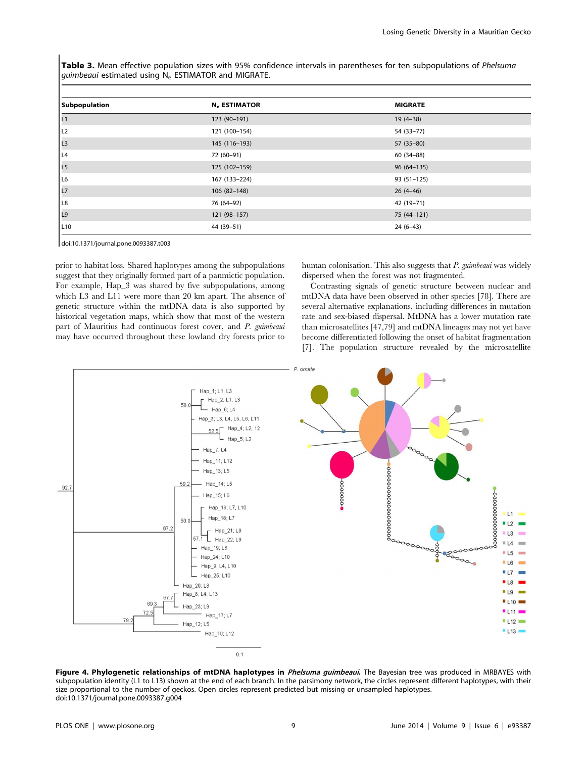Table 3. Mean effective population sizes with 95% confidence intervals in parentheses for ten subpopulations of Phelsuma guimbeaui estimated using N<sub>e</sub> ESTIMATOR and MIGRATE.

| Subpopulation   | N. ESTIMATOR  | <b>MIGRATE</b> |
|-----------------|---------------|----------------|
| L1              | 123 (90-191)  | $19(4-38)$     |
| L <sub>2</sub>  | 121 (100-154) | 54 (33-77)     |
| L <sub>3</sub>  | 145 (116-193) | $57(35-80)$    |
| L <sub>4</sub>  | 72 (60-91)    | $60(34-88)$    |
| L <sub>5</sub>  | 125 (102-159) | $96(64-135)$   |
| L6              | 167 (133-224) | $93(51-125)$   |
| L <sub>7</sub>  | 106 (82-148)  | $26(4-46)$     |
| L <sub>8</sub>  | 76 (64-92)    | 42 (19-71)     |
| L9              | 121 (98-157)  | 75 (44-121)    |
| L <sub>10</sub> | 44 (39–51)    | $24(6-43)$     |

doi:10.1371/journal.pone.0093387.t003

prior to habitat loss. Shared haplotypes among the subpopulations suggest that they originally formed part of a panmictic population. For example, Hap\_3 was shared by five subpopulations, among which L3 and L11 were more than 20 km apart. The absence of genetic structure within the mtDNA data is also supported by historical vegetation maps, which show that most of the western part of Mauritius had continuous forest cover, and P. guimbeaui may have occurred throughout these lowland dry forests prior to human colonisation. This also suggests that  $P$ , guimbeaui was widely dispersed when the forest was not fragmented.

Contrasting signals of genetic structure between nuclear and mtDNA data have been observed in other species [78]. There are several alternative explanations, including differences in mutation rate and sex-biased dispersal. MtDNA has a lower mutation rate than microsatellites [47,79] and mtDNA lineages may not yet have become differentiated following the onset of habitat fragmentation [7]. The population structure revealed by the microsatellite



Figure 4. Phylogenetic relationships of mtDNA haplotypes in Phelsuma guimbeaui. The Bayesian tree was produced in MRBAYES with subpopulation identity (L1 to L13) shown at the end of each branch. In the parsimony network, the circles represent different haplotypes, with their size proportional to the number of geckos. Open circles represent predicted but missing or unsampled haplotypes. doi:10.1371/journal.pone.0093387.g004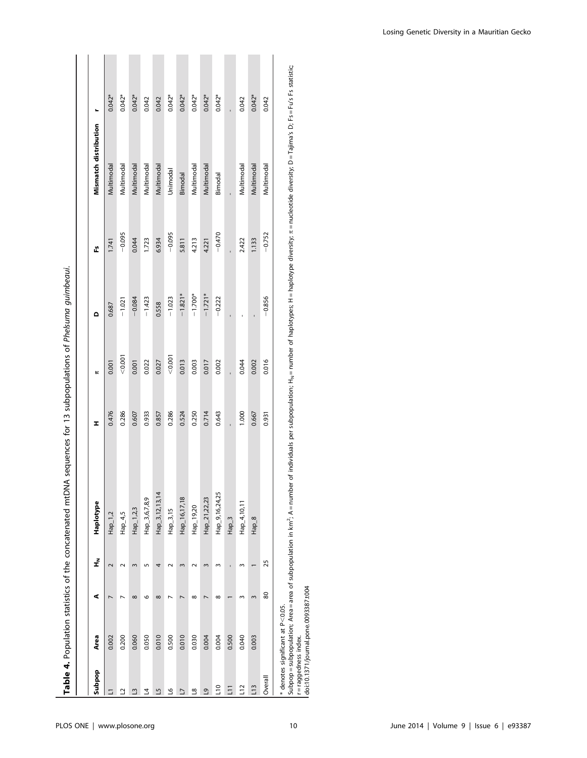|                 |                                       |            |                         | Table 4. Population statistics of the concatenated mtDNA sequences for 13 subpopulations of Phelsuma guimbeaui. |       |         |           |          |                       |          |
|-----------------|---------------------------------------|------------|-------------------------|-----------------------------------------------------------------------------------------------------------------|-------|---------|-----------|----------|-----------------------|----------|
|                 |                                       |            |                         |                                                                                                                 |       |         |           |          |                       |          |
| <b>Sudan</b>    | Area                                  | ⋖          | f                       | Haplotype                                                                                                       | I     | ĸ       | ۵         | Ľ        | Mismatch distribution |          |
| E               | 0.002                                 |            | $\overline{\mathsf{c}}$ | $Hap_1,2$                                                                                                       | 0.476 | 0.001   | 0.687     | 1.741    | Multimodal            | $0.042*$ |
| ₫               | 0.200                                 |            |                         | $Hap_4,5$                                                                                                       | 0.286 | < 0.001 | $-1.021$  | $-0.095$ | Multimodal            | $0.042*$ |
| ≅               | 0.060                                 | $^{\circ}$ | $\mathbf{r}$            | Hap_1,2,3                                                                                                       | 0.607 | 0.001   | $-0.084$  | 0.044    | Multimodal            | $0.042*$ |
| 4               | 0.050                                 | o          | 5                       | Hap_3,6,7,8,9                                                                                                   | 0.933 | 0.022   | $-1,423$  | 1.723    | Multimodal            | 0.042    |
| ٩               | 0.010                                 | $^{\circ}$ |                         | Hap_3,12,13,14                                                                                                  | 0.857 | 0.027   | 0.558     | 6.934    | Multimodal            | 0.042    |
| ڡ               | 0.500                                 |            |                         | Hap_3,15                                                                                                        | 0.286 | < 0.001 | $-1.023$  | $-0.095$ | Unimodal              | $0.042*$ |
| 2               | 0.010                                 |            | $\sim$                  | Hap_16,17,18                                                                                                    | 0.524 | 0.013   | $-1.821*$ | 5.811    | Bimodal               | $0.042*$ |
| $\frac{8}{1}$   | 0.030                                 | $^{\circ}$ |                         | Hap_19,20                                                                                                       | 0.250 | 0.003   | $-1.700*$ | 4.213    | Multimodal            | $0.042*$ |
| ്വ              | 0.004                                 |            |                         | Hap_21,22,23                                                                                                    | 0.714 | 0.017   | $-1.721*$ | 4.221    | Multimodal            | $0.042*$ |
| $\overline{10}$ | 0.004                                 | ∞          |                         | Hap_9,16,24,25                                                                                                  | 0.643 | 0.002   | $-0.222$  | $-0.470$ | Bimodal               | $0.042*$ |
| $\overline{z}$  | 0.500                                 |            |                         | Hap_3                                                                                                           |       |         |           |          |                       |          |
| L12             | 0.040                                 |            |                         | $Hap_4, 10, 11$                                                                                                 | 1.000 | 0.044   |           | 2.422    | Multimodal            | 0.042    |
| $\sqrt{13}$     | 0.003                                 |            |                         | $Hap_8$                                                                                                         | 0.667 | 0.002   |           | 1.133    | Multimodal            | $0.042*$ |
| Overall         |                                       | 80         | 25                      |                                                                                                                 | 0.931 | 0.016   | $-0.856$  | $-0.752$ | Multimodal            | 0.042    |
|                 | $*$ depotes significant at $D < 0$ OS |            |                         |                                                                                                                 |       |         |           |          |                       |          |

\* denotes significant at P

\* denotes significant at P<0.05.<br>Subpop = subpopulation; Area = area of subpopulation in km<sup>2</sup>; A = number of individuals per subpopulation; H<sub>N</sub> = number of haplotypes; H = haplotype diversity; π = nucleotide diversity; Subpop = subpopulation; Area = area of subpopulation in km<sup>2</sup>; A = number of individuals per subpopulation; H<sub>N</sub> = number of haplotypes; H = haplotype diversity;  $\pi$  = nucleotide diversity; D = Tajima's D; Fs = Fu's Fs s r = raggedness index. doi:10.1371/journal.pone.0093387.t004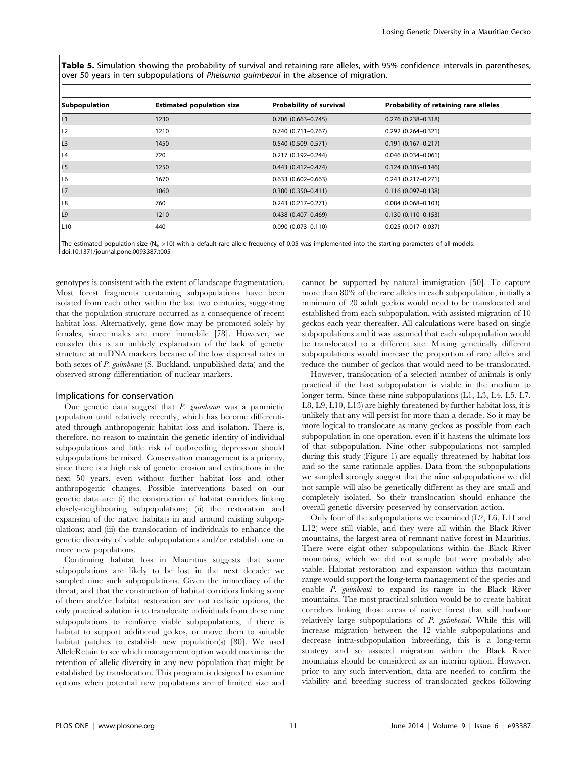Table 5. Simulation showing the probability of survival and retaining rare alleles, with 95% confidence intervals in parentheses, over 50 years in ten subpopulations of Phelsuma quimbeaui in the absence of migration.

| Subpopulation   | <b>Estimated population size</b> | Probability of survival   | Probability of retaining rare alleles |
|-----------------|----------------------------------|---------------------------|---------------------------------------|
| L1              | 1230                             | $0.706$ $(0.663 - 0.745)$ | $0.276$ (0.238-0.318)                 |
| L2              | 1210                             | $0.740(0.711 - 0.767)$    | $0.292$ $(0.264 - 0.321)$             |
| L <sub>3</sub>  | 1450                             | $0.540(0.509 - 0.571)$    | $0.191(0.167 - 0.217)$                |
| L <sub>4</sub>  | 720                              | $0.217(0.192 - 0.244)$    | $0.046$ (0.034-0.061)                 |
| L <sub>5</sub>  | 1250                             | $0.443(0.412 - 0.474)$    | $0.124(0.105 - 0.146)$                |
| L <sub>6</sub>  | 1670                             | $0.633$ $(0.602 - 0.663)$ | $0.243$ $(0.217 - 0.271)$             |
| L7              | 1060                             | $0.380(0.350 - 0.411)$    | $0.116(0.097 - 0.138)$                |
| L8              | 760                              | $0.243(0.217-0.271)$      | $0.084$ (0.068-0.103)                 |
| L <sub>9</sub>  | 1210                             | $0.438$ (0.407-0.469)     | $0.130(0.110 - 0.153)$                |
| L <sub>10</sub> | 440                              | $0.090$ $(0.073 - 0.110)$ | $0.025(0.017-0.037)$                  |

The estimated population size (N<sub>e</sub>  $\times$ 10) with a default rare allele frequency of 0.05 was implemented into the starting parameters of all models. doi:10.1371/journal.pone.0093387.t005

genotypes is consistent with the extent of landscape fragmentation. Most forest fragments containing subpopulations have been isolated from each other within the last two centuries, suggesting that the population structure occurred as a consequence of recent habitat loss. Alternatively, gene flow may be promoted solely by females, since males are more immobile [78]. However, we consider this is an unlikely explanation of the lack of genetic structure at mtDNA markers because of the low dispersal rates in both sexes of P. guimbeaui (S. Buckland, unpublished data) and the observed strong differentiation of nuclear markers.

#### Implications for conservation

Our genetic data suggest that  $P$ . guimbeaui was a panmictic population until relatively recently, which has become differentiated through anthropogenic habitat loss and isolation. There is, therefore, no reason to maintain the genetic identity of individual subpopulations and little risk of outbreeding depression should subpopulations be mixed. Conservation management is a priority, since there is a high risk of genetic erosion and extinctions in the next 50 years, even without further habitat loss and other anthropogenic changes. Possible interventions based on our genetic data are: (i) the construction of habitat corridors linking closely-neighbouring subpopulations; (ii) the restoration and expansion of the native habitats in and around existing subpopulations; and (iii) the translocation of individuals to enhance the genetic diversity of viable subpopulations and/or establish one or more new populations.

Continuing habitat loss in Mauritius suggests that some subpopulations are likely to be lost in the next decade: we sampled nine such subpopulations. Given the immediacy of the threat, and that the construction of habitat corridors linking some of them and/or habitat restoration are not realistic options, the only practical solution is to translocate individuals from these nine subpopulations to reinforce viable subpopulations, if there is habitat to support additional geckos, or move them to suitable habitat patches to establish new population(s) [80]. We used AlleleRetain to see which management option would maximise the retention of allelic diversity in any new population that might be established by translocation. This program is designed to examine options when potential new populations are of limited size and cannot be supported by natural immigration [50]. To capture more than 80% of the rare alleles in each subpopulation, initially a minimum of 20 adult geckos would need to be translocated and established from each subpopulation, with assisted migration of 10 geckos each year thereafter. All calculations were based on single subpopulations and it was assumed that each subpopulation would be translocated to a different site. Mixing genetically different subpopulations would increase the proportion of rare alleles and reduce the number of geckos that would need to be translocated.

However, translocation of a selected number of animals is only practical if the host subpopulation is viable in the medium to longer term. Since these nine subpopulations (L1, L3, L4, L5, L7, L8, L9, L10, L13) are highly threatened by further habitat loss, it is unlikely that any will persist for more than a decade. So it may be more logical to translocate as many geckos as possible from each subpopulation in one operation, even if it hastens the ultimate loss of that subpopulation. Nine other subpopulations not sampled during this study (Figure 1) are equally threatened by habitat loss and so the same rationale applies. Data from the subpopulations we sampled strongly suggest that the nine subpopulations we did not sample will also be genetically different as they are small and completely isolated. So their translocation should enhance the overall genetic diversity preserved by conservation action.

Only four of the subpopulations we examined (L2, L6, L11 and L12) were still viable, and they were all within the Black River mountains, the largest area of remnant native forest in Mauritius. There were eight other subpopulations within the Black River mountains, which we did not sample but were probably also viable. Habitat restoration and expansion within this mountain range would support the long-term management of the species and enable P. guimbeaui to expand its range in the Black River mountains. The most practical solution would be to create habitat corridors linking those areas of native forest that still harbour relatively large subpopulations of P. guimbeaui. While this will increase migration between the 12 viable subpopulations and decrease intra-subpopulation inbreeding, this is a long-term strategy and so assisted migration within the Black River mountains should be considered as an interim option. However, prior to any such intervention, data are needed to confirm the viability and breeding success of translocated geckos following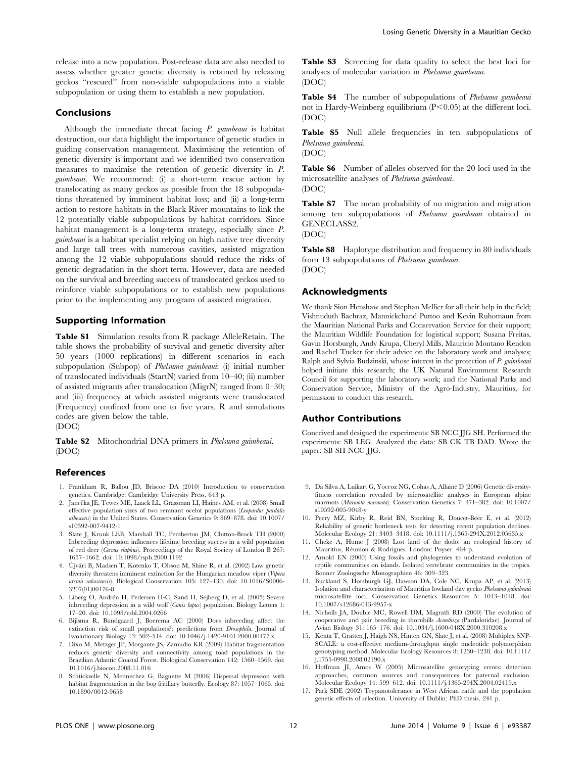release into a new population. Post-release data are also needed to assess whether greater genetic diversity is retained by releasing geckos ''rescued'' from non-viable subpopulations into a viable subpopulation or using them to establish a new population.

#### Conclusions

Although the immediate threat facing  $P$ , guimbeaui is habitat destruction, our data highlight the importance of genetic studies in guiding conservation management. Maximising the retention of genetic diversity is important and we identified two conservation measures to maximise the retention of genetic diversity in P. guimbeaui. We recommend: (i) a short-term rescue action by translocating as many geckos as possible from the 18 subpopulations threatened by imminent habitat loss; and (ii) a long-term action to restore habitats in the Black River mountains to link the 12 potentially viable subpopulations by habitat corridors. Since habitat management is a long-term strategy, especially since P. guimbeaui is a habitat specialist relying on high native tree diversity and large tall trees with numerous cavities, assisted migration among the 12 viable subpopulations should reduce the risks of genetic degradation in the short term. However, data are needed on the survival and breeding success of translocated geckos used to reinforce viable subpopulations or to establish new populations prior to the implementing any program of assisted migration.

## Supporting Information

Table S1 Simulation results from R package AlleleRetain. The table shows the probability of survival and genetic diversity after 50 years (1000 replications) in different scenarios in each subpopulation (Subpop) of *Phelsuma guimbeaui*: (i) initial number of translocated individuals (StartN) varied from 10–40; (ii) number of assisted migrants after translocation (MigrN) ranged from 0–30; and (iii) frequency at which assisted migrants were translocated (Frequency) confined from one to five years. R and simulations codes are given below the table.

(DOC)

Table S2 Mitochondrial DNA primers in *Phelsuma guimbeaui*. (DOC)

## References

- 1. Frankham R, Ballou JD, Briscoe DA (2010) Introduction to conservation genetics. Cambridge: Cambridge University Press. 643 p.
- 2. Janečka JE, Tewes ME, Laack LL, Grassman LI, Haines AM, et al. (2008) Small effective population sizes of two remnant ocelot populations (Leopardus pardalis albescens) in the United States. Conservation Genetics 9: 869–878. doi: 10.1007/ s10592-007-9412-1
- 3. Slate J, Kruuk LEB, Marshall TC, Pemberton JM, Clutton-Brock TH (2000) Inbreeding depression influences lifetime breeding success in a wild population of red deer (Cervus elaphus). Proceedings of the Royal Society of London B 267: 1657–1662. doi: 10.1098/rspb.2000.1192
- 4. Újvári B, Madsen T, Kotenko T, Olsson M, Shine R, et al. (2002) Low genetic diversity threatens imminent extinction for the Hungarian meadow viper (Vipera ursinii rakosiensis). Biological Conservation 105: 127-130. doi: 10.1016/S0006-3207(01)00176-8
- 5. Liberg O, Andrén H, Pedersen H-C, Sand H, Sejberg D, et al. (2005) Severe inbreeding depression in a wild wolf (Canis lupus) population. Biology Letters 1: 17–20. doi: 10.1098/rsbl.2004.0266
- 6. Bijlsma R, Bundgaard J, Boerema AC (2000) Does inbreeding affect the extinction risk of small populations?: predictions from Drosophila. Journal of Evolutionary Biology 13: 502–514. doi: 10.1046/j.1420-9101.2000.00177.x
- 7. Dixo M, Metzger JP, Morgante JS, Zamudio KR (2009) Habitat fragmentation reduces genetic diversity and connectivity among toad populations in the Brazilian Atlantic Coastal Forest. Biological Conservation 142: 1560–1569. doi: 10.1016/j.biocon.2008.11.016
- 8. Schtickzelle N, Mennechez G, Baguette M (2006) Dispersal depression with habitat fragmentation in the bog fritillary butterfly. Ecology 87: 1057–1065. doi: 10.1890/0012-9658

Table S3 Screening for data quality to select the best loci for analyses of molecular variation in Phelsuma guimbeaui. (DOC)

Table S4 The number of subpopulations of Phelsuma guimbeaui not in Hardy-Weinberg equilibrium  $(P<0.05)$  at the different loci. (DOC)

Table S5 Null allele frequencies in ten subpopulations of Phelsuma guimbeaui.

Table S6 Number of alleles observed for the 20 loci used in the microsatellite analyses of Phelsuma guimbeaui. (DOC)

Table S7 The mean probability of no migration and migration among ten subpopulations of Phelsuma guimbeaui obtained in GENECLASS2.

(DOC)

(DOC)

Table S8 Haplotype distribution and frequency in 80 individuals from 13 subpopulations of Phelsuma guimbeaui. (DOC)

## Acknowledgments

We thank Sion Henshaw and Stephan Mellier for all their help in the field; Vishnuduth Bachraz, Mannickchand Puttoo and Kevin Ruhomaun from the Mauritian National Parks and Conservation Service for their support; the Mauritian Wildlife Foundation for logistical support; Susana Freitas, Gavin Horsburgh, Andy Krupa, Cheryl Mills, Mauricio Montano Rendon and Rachel Tucker for their advice on the laboratory work and analyses; Ralph and Sylvia Budzinski, whose interest in the protection of P. guimbeaui helped initiate this research; the UK Natural Environment Research Council for supporting the laboratory work; and the National Parks and Conservation Service, Ministry of the Agro-Industry, Mauritius, for permission to conduct this research.

#### Author Contributions

Conceived and designed the experiments: SB NCC JJG SH. Performed the experiments: SB LEG. Analyzed the data: SB CK TB DAD. Wrote the paper: SB SH NCC JJG.

- 9. Da Silva A, Luikart G, Yoccoz NG, Cohas A, Allainé D (2006) Genetic diversityfitness correlation revealed by microsatellite analyses in European alpine marmots (Marmota marmota). Conservation Genetics 7: 371–382. doi: 10.1007/ s10592-005-9048-y
- 10. Peery MZ, Kirby R, Reid BN, Stoelting R, Doucet-Beer E, et al. (2012) Reliability of genetic bottleneck tests for detecting recent population declines. Molecular Ecology 21: 3403–3418. doi: 10.1111/j.1365-294X.2012.05635.x
- 11. Cheke A, Hume J (2008) Lost land of the dodo: an ecological history of Mauritius, Réunion & Rodrigues. London: Poyser. 464 p.
- 12. Arnold EN (2000) Using fossils and phylogenies to understand evolution of reptile communities on islands. Isolated vertebrate communities in the tropics. Bonner Zoologische Monographien 46: 309–323.
- 13. Buckland S, Horsburgh GJ, Dawson DA, Cole NC, Krupa AP, et al. (2013) Isolation and characterisation of Mauritius lowland day gecko Phelsuma guimbeaui microsatellite loci. Conservation Genetics Resources 5: 1013–1018. doi: 10.1007/s12686-013-9957-x
- 14. Nicholls JA, Double MC, Rowell DM, Magrath RD (2000) The evolution of cooperative and pair breeding in thornbills Acanthiza (Pardalotidae). Journal of Avian Biology 31: 165–176. doi: 10.1034/j.1600-048X.2000.310208.x
- 15. Kenta T, Gratten J, Haigh NS, Hinten GN, Slate J, et al. (2008) Multiplex SNP-SCALE: a cost-effective medium-throughput single nucleotide polymorphism genotyping method. Molecular Ecology Resources 8: 1230–1238. doi: 10.1111/ j.1755-0998.2008.02190.x
- 16. Hoffman JI, Amos W (2005) Microsatellite genotyping errors: detection approaches, common sources and consequences for paternal exclusion. Molecular Ecology 14: 599–612. doi: 10.1111/j.1365-294X.2004.02419.x
- 17. Park SDE (2002) Trypanotolerance in West African cattle and the population genetic effects of selection. University of Dublin: PhD thesis. 241 p.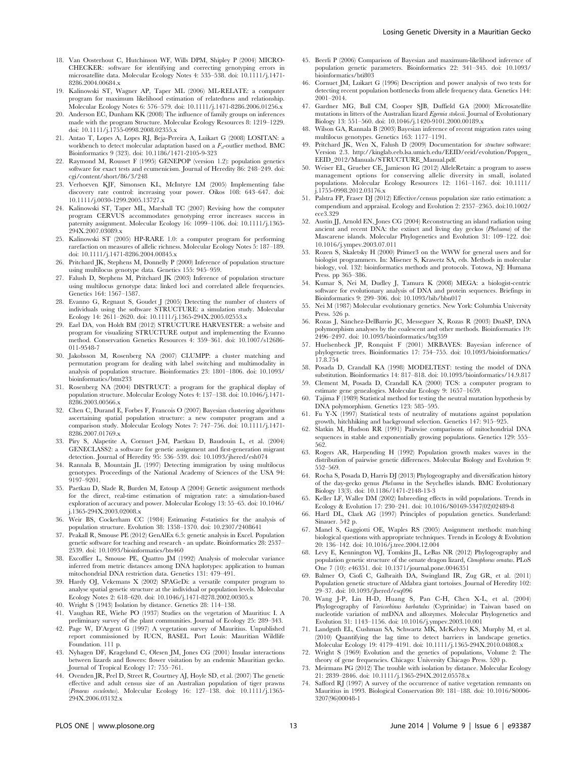- 18. Van Oosterhout C, Hutchinson WF, Wills DPM, Shipley P (2004) MICRO-CHECKER: software for identifying and correcting genotyping errors in microsatellite data. Molecular Ecology Notes 4: 535–538. doi: 10.1111/j.1471- 8286.2004.00684.x
- 19. Kalinowski ST, Wagner AP, Taper ML (2006) ML-RELATE: a computer program for maximum likelihood estimation of relatedness and relationship. Molecular Ecology Notes 6: 576–579. doi: 10.1111/j.1471-8286.2006.01256.x
- 20. Anderson EC, Dunham KK (2008) The influence of family groups on inferences made with the program Structure. Molecular Ecology Resources 8: 1219–1229. doi: 10.1111/j.1755-0998.2008.02355.x
- 21. Antao T, Lopes A, Lopes RJ, Beja-Pereira A, Luikart G (2008) LOSITAN: a workbench to detect molecular adaptation based on a  $F_{st}$ -outlier method. BMC Bioinformatics 9 (323). doi: 10.1186/1471-2105-9-323
- 22. Raymond M, Rousset F (1995) GENEPOP (version 1.2): population genetics software for exact tests and ecumenicism. Journal of Heredity 86: 248–249. doi: cgi/content/short/86/3/248
- 23. Verhoeven KJF, Simonsen KL, McIntyre LM (2005) Implementing false discovery rate control: increasing your power. Oikos 108: 643–647. doi: 10.1111/j.0030-1299.2005.13727.x
- 24. Kalinowski ST, Taper ML, Marshall TC (2007) Revising how the computer program CERVUS accommodates genotyping error increases success in paternity assignment. Molecular Ecology 16: 1099–1106. doi: 10.1111/j.1365- 294X.2007.03089.x
- 25. Kalinowski ST (2005) HP-RARE 1.0: a computer program for performing rarefaction on measures of allelic richness. Molecular Ecology Notes 5: 187–189. doi: 10.1111/j.1471-8286.2004.00845.x
- 26. Pritchard JK, Stephens M, Donnelly P (2000) Inference of population structure using multilocus genotype data. Genetics 155: 945–959.
- 27. Falush D, Stephens M, Pritchard JK (2003) Inference of population structure using multilocus genotype data: linked loci and correlated allele frequencies. Genetics 164: 1567–1587.
- 28. Evanno G, Regnaut S, Goudet J (2005) Detecting the number of clusters of individuals using the software STRUCTURE: a simulation study. Molecular Ecology 14: 2611–2620. doi: 10.1111/j.1365-294X.2005.02553.x
- 29. Earl DA, von Holdt BM (2012) STRUCTURE HARVESTER: a website and program for visualizing STRUCTURE output and implementing the Evanno method. Conservation Genetics Resources 4: 359–361. doi: 10.1007/s12686- 011-9548-7
- 30. Jakobsson M, Rosenberg NA (2007) CLUMPP: a cluster matching and permutation program for dealing with label switching and multimodality in analysis of population structure. Bioinformatics 23: 1801–1806. doi: 10.1093/ bioinformatics/btm233
- 31. Rosenberg NA (2004) DISTRUCT: a program for the graphical display of population structure. Molecular Ecology Notes 4: 137–138. doi: 10.1046/j.1471- 8286.2003.00566.x
- 32. Chen C, Durand E, Forbes F, Francois O (2007) Bayesian clustering algorithms ascertaining spatial population structure: a new computer program and a comparison study. Molecular Ecology Notes 7: 747–756. doi: 10.1111/j.1471- 8286.2007.01769.x
- 33. Piry S, Alapetite A, Cornuet J-M, Paetkau D, Baudouin L, et al. (2004) GENECLASS2: a software for genetic assignment and first-generation migrant detection. Journal of Heredity 95: 536–539. doi: 10.1093/jhered/esh074
- 34. Rannala B, Mountain JL (1997) Detecting immigration by using multilocus genotypes. Proceedings of the National Academy of Sciences of the USA 94: 9197–9201.
- 35. Paetkau D, Slade R, Burden M, Estoup A (2004) Genetic assignment methods for the direct, real-time estimation of migration rate: a simulation-based exploration of accuracy and power. Molecular Ecology 13: 55–65. doi: 10.1046/ j.1365-294X.2003.02008.x
- 36. Weir BS, Cockerham CC (1984) Estimating F-statistics for the analysis of population structure. Evolution 38: 1358–1370. doi: 10.2307/2408641
- 37. Peakall R, Smouse PE (2012) GenAlEx 6.5: genetic analysis in Excel. Population genetic software for teaching and research - an update. Bioinformatics 28: 2537– 2539. doi: 10.1093/bioinformatics/bts460
- 38. Excoffier L, Smouse PE, Quattro JM (1992) Analysis of molecular variance inferred from metric distances among DNA haplotypes: application to human mitochondrial DNA restriction data. Genetics 131: 479–491.
- 39. Hardy OJ, Vekemans X (2002) SPAGeDi: a versatile computer program to analyse spatial genetic structure at the individual or population levels. Molecular Ecology Notes 2: 618–620. doi: 10.1046/j.1471-8278.2002.00305.x
- 40. Wright S (1943) Isolation by distance. Genetics 28: 114–138.
- 41. Vaughan RE, Wiehe PO (1937) Studies on the vegetation of Mauritius: I. A preliminary survey of the plant communities. Journal of Ecology 25: 289–343.
- 42. Page W, D'Argent G (1997) A vegetation survey of Mauritius. Unpublished report commissioned by IUCN, BASEL. Port Louis: Mauritian Wildlife Foundation. 111 p.
- 43. Nyhagen DF, Kragelund C, Olesen JM, Jones CG (2001) Insular interactions between lizards and flowers: flower visitation by an endemic Mauritian gecko. Journal of Tropical Ecology 17: 755–761.
- 44. Ovenden JR, Peel D, Street R, Courtney AJ, Hoyle SD, et al. (2007) The genetic effective and adult census size of an Australian population of tiger prawns (Penaeus esculentus). Molecular Ecology 16: 127–138. doi: 10.1111/j.1365- 294X.2006.03132.x
- 45. Beerli P (2006) Comparison of Bayesian and maximum-likelihood inference of population genetic parameters. Bioinformatics 22: 341–345. doi: 10.1093/ bioinformatics/bti803
- 46. Cornuet JM, Luikart G (1996) Description and power analysis of two tests for detecting recent population bottlenecks from allele frequency data. Genetics 144: 2001–2014.
- 47. Gardner MG, Bull CM, Cooper SJB, Duffield GA (2000) Microsatellite mutations in litters of the Australian lizard Egernia stokesii. Journal of Evolutionary Biology 13: 551–560. doi: 10.1046/j.1420-9101.2000.00189.x
- 48. Wilson GA, Rannala B (2003) Bayesian inference of recent migration rates using multilocus genotypes. Genetics 163: 1177–1191.
- 49. Pritchard JK, Wen X, Falush D (2009) Documentation for *structure* software: Version 2.3. [http://kinglab.eeb.lsa.umich.edu/EEID/eeid/evolution/Popgen\\_](http://kinglab.eeb.lsa.umich.edu/EEID/eeid/evolution/Popgen_EEID_2012/Manuals/STRUCTURE_Manual.pdf) [EEID\\_2012/Manuals/STRUCTURE\\_Manual.pdf.](http://kinglab.eeb.lsa.umich.edu/EEID/eeid/evolution/Popgen_EEID_2012/Manuals/STRUCTURE_Manual.pdf)
- 50. Weiser EL, Grueber CE, Jamieson IG (2012) AlleleRetain: a program to assess management options for conserving allelic diversity in small, isolated populations. Molecular Ecology Resources 12: 1161–1167. doi: 10.1111/  $\frac{1}{2}$ 1755-0998.2012.03176 $\frac{x}{2}$
- 51. Palstra FP, Fraser DJ (2012) Effective/census population size ratio estimation: a compendium and appraisal. Ecology and Evolution 2: 2357–2365. doi:10.1002/ ece3.329
- 52. Austin JJ, Arnold EN, Jones CG (2004) Reconstructing an island radiation using ancient and recent DNA: the extinct and living day geckos (Phelsuma) of the Mascarene islands. Molecular Phylogenetics and Evolution 31: 109–122. doi: 10.1016/j.ympev.2003.07.011
- 53. Rozen S, Skaletsky H (2000) Primer3 on the WWW for general users and for biologist programmers. In: Misener S, Krawetz SA, eds. Methods in molecular biology, vol. 132: bioinformatics methods and protocols. Totowa, NJ: Humana Press. pp 365–386.
- 54. Kumar S, Nei M, Dudley J, Tamura K (2008) MEGA: a biologist-centric software for evolutionary analysis of DNA and protein sequences. Briefings in Bioinformatics 9: 299–306. doi: 10.1093/bib/bbn017
- 55. Nei M (1987) Molecular evolutionary genetics. New York: Columbia University Press. 526 p.
- 56. Rozas J, Sánchez-DelBarrio JC, Messeguer X, Rozas R (2003) DnaSP, DNA polymorphism analyses by the coalescent and other methods. Bioinformatics 19: 2496–2497. doi: 10.1093/bioinformatics/btg359
- 57. Huelsenbeck JP, Ronquist F (2001) MRBAYES: Bayesian inference of phylogenetic trees. Bioinformatics 17: 754–755. doi: 10.1093/bioinformatics/ 17.8.754
- 58. Posada D, Crandall KA (1998) MODELTEST: testing the model of DNA substitution. Bioinformatics 14: 817–818. doi: 10.1093/bioinformatics/14.9.817
- 59. Clement M, Posada D, Crandall KA (2000) TCS: a computer program to estimate gene genealogies. Molecular Ecology 9: 1657–1659.
- 60. Tajima F (1989) Statistical method for testing the neutral mutation hypothesis by DNA polymorphism. Genetics 123: 585–595.
- 61. Fu Y-X (1997) Statistical tests of neutrality of mutations against population growth, hitchhiking and background selection. Genetics 147: 915–925.
- 62. Slatkin M, Hudson RR (1991) Pairwise comparisons of mitochondrial DNA sequences in stable and exponentially growing populations. Genetics 129: 555– 562.
- 63. Rogers AR, Harpending H (1992) Population growth makes waves in the distribution of pairwise genetic differences. Molecular Biology and Evolution 9: 552–569.
- 64. Rocha S, Posada D, Harris DJ (2013) Phylogeography and diversification history of the day-gecko genus Phelsuma in the Seychelles islands. BMC Evolutionary Biology 13(3). doi: 10.1186/1471-2148-13-3
- 65. Keller LF, Waller DM (2002) Inbreeding effects in wild populations. Trends in Ecology & Evolution 17: 230–241. doi: 10.1016/S0169-5347(02)02489-8
- 66. Hartl DL, Clark AG (1997) Principles of population genetics. Sunderland: Sinauer. 542 p.
- 67. Manel S, Gaggiotti OE, Waples RS (2005) Assignment methods: matching biological questions with appropriate techniques. Trends in Ecology & Evolution 20: 136–142. doi: 10.1016/j.tree.2004.12.004
- 68. Levy E, Kennington WJ, Tomkins JL, LeBas NR (2012) Phylogeography and population genetic structure of the ornate dragon lizard, Ctenophorus ornatus. PLoS One 7 (10): e46351. doi: 10.1371/journal.pone.0046351
- Balmer O, Ciofi C, Galbraith DA, Swingland IR, Zug GR, et al. (2011) Population genetic structure of Aldabra giant tortoises. Journal of Heredity 102: 29–37. doi: 10.1093/jhered/esq096
- 70. Wang J-P, Lin H-D, Huang S, Pan C-H, Chen X-L, et al. (2004) Phylogeography of Varicorhinus barbatulus (Cyprinidae) in Taiwan based on nucleotide variation of mtDNA and allozymes. Molecular Phylogenetics and Evolution 31: 1143–1156. doi: 10.1016/j.ympev.2003.10.001
- 71. Landguth EL, Cushman SA, Schwartz MK, McKelvey KS, Murphy M, et al. (2010) Quantifying the lag time to detect barriers in landscape genetics. Molecular Ecology 19: 4179–4191. doi: 10.1111/j.1365-294X.2010.04808.x
- 72. Wright S (1969) Evolution and the genetics of populations, Volume 2: The theory of gene frequencies. Chicago: University Chicago Press. 520 p.
- 73. Meirmans PG (2012) The trouble with isolation by distance. Molecular Ecology 21: 2839–2846. doi: 10.1111/j.1365-294X.2012.05578.x
- 74. Safford RJ (1997) A survey of the occurrence of native vegetation remnants on Mauritius in 1993. Biological Conservation 80: 181–188. doi: 10.1016/S0006- 3207(96)00048-1